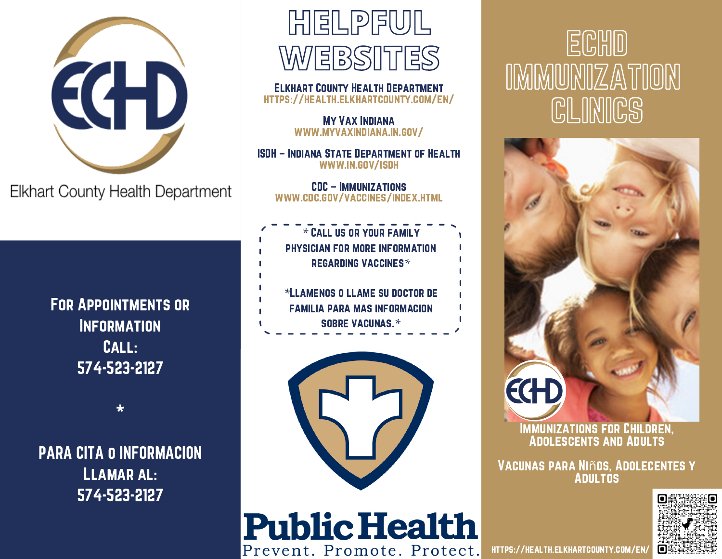

Elkhart County Health Department

For Appointments or **INFORMATION** Call: 574-523-2127

**\***

PARA CITA o INFORMACION Llamar al: 574-523-2127



Elkhart County Health Department <https://health.elkhartcounty.com/en/>

> My Vax Indiana [www.myvaxindiana.in.gov/](http://www.myvaxindiana.in.gov/)

ISDH – Indiana State Department of Health [www.in.gov/isdh](http://www.in.gov/isdh)

CDC – Immunizations [www.cdc.gov/vaccines/index.html](http://www.cdc.gov/vaccines/index.html)

*\** Call us or your family physician for more information regarding vaccines*\**

*\**Llamenos o llame su doctor de familia para mas informacion sobre vacunas.*\**



**Public Health** 

Prevent. Promote. Protect.

ECHD IMMUNIZATION **CLINICS** 



Immunizations for Children, Adolescents and Adults

Vacunas para Niños, Adolecentes y **ADULTOS** 



<https://health.elkhartcounty.com/en/>